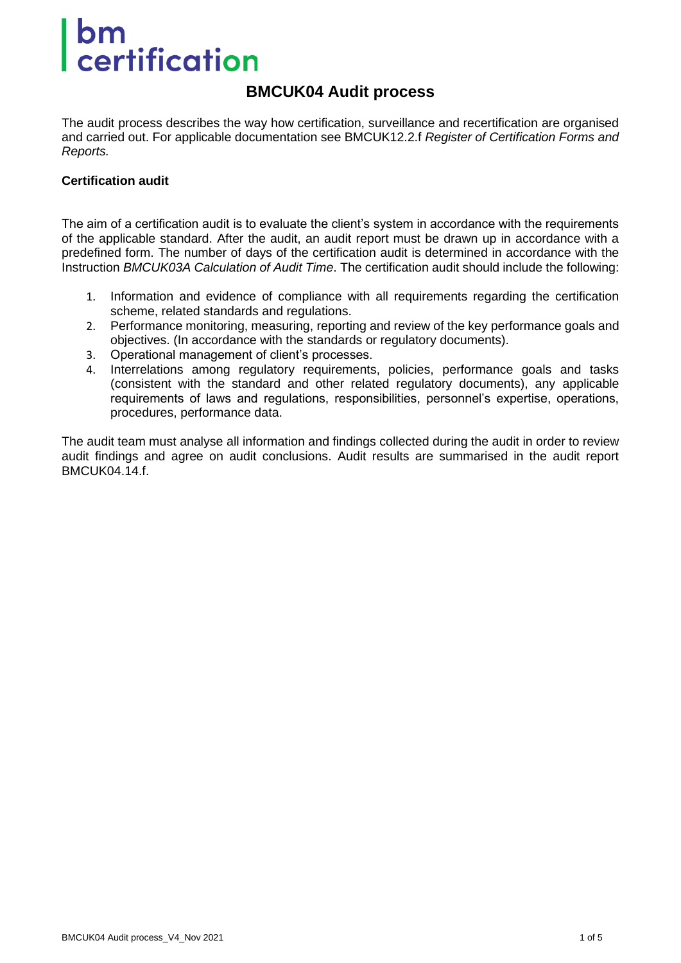# **certification**

#### **BMCUK04 Audit process**

The audit process describes the way how certification, surveillance and recertification are organised and carried out. For applicable documentation see BMCUK12.2.f *Register of Certification Forms and Reports.*

#### **Certification audit**

The aim of a certification audit is to evaluate the client's system in accordance with the requirements of the applicable standard. After the audit, an audit report must be drawn up in accordance with a predefined form. The number of days of the certification audit is determined in accordance with the Instruction *BMCUK03A Calculation of Audit Time*. The certification audit should include the following:

- 1. Information and evidence of compliance with all requirements regarding the certification scheme, related standards and regulations.
- 2. Performance monitoring, measuring, reporting and review of the key performance goals and objectives. (In accordance with the standards or regulatory documents).
- 3. Operational management of client's processes.
- 4. Interrelations among regulatory requirements, policies, performance goals and tasks (consistent with the standard and other related regulatory documents), any applicable requirements of laws and regulations, responsibilities, personnel's expertise, operations, procedures, performance data.

The audit team must analyse all information and findings collected during the audit in order to review audit findings and agree on audit conclusions. Audit results are summarised in the audit report BMCUK04.14.f.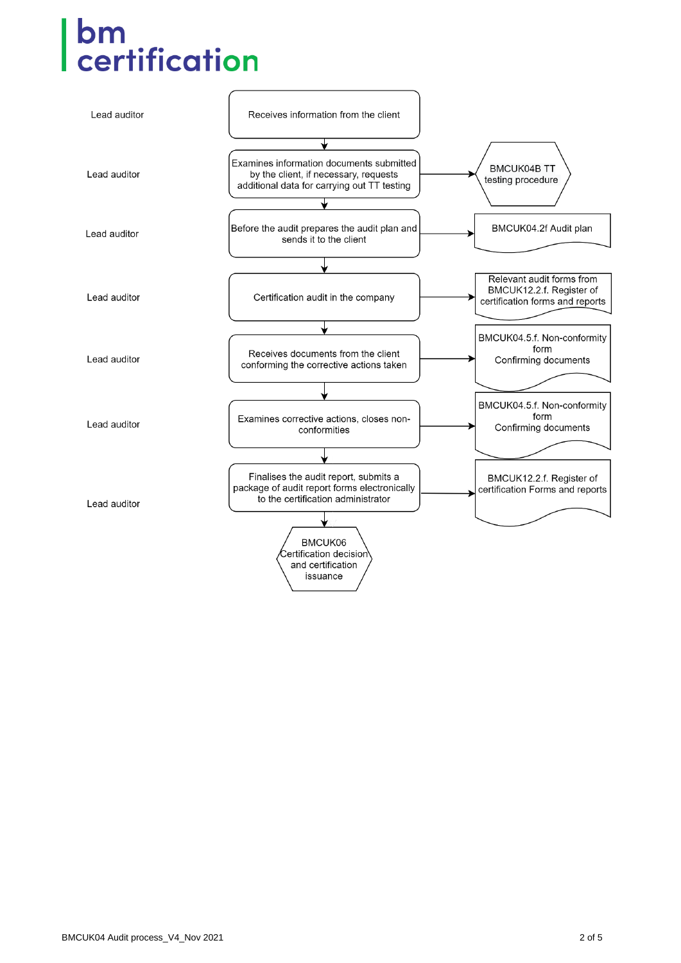# **bm**<br>certification

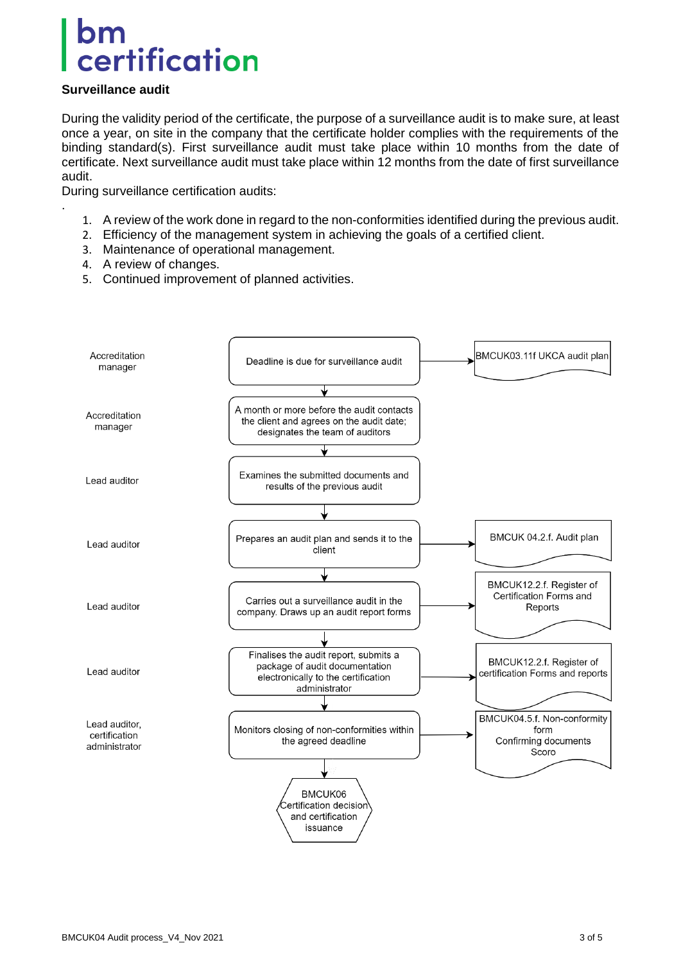## certification

#### **Surveillance audit**

.

During the validity period of the certificate, the purpose of a surveillance audit is to make sure, at least once a year, on site in the company that the certificate holder complies with the requirements of the binding standard(s). First surveillance audit must take place within 10 months from the date of certificate. Next surveillance audit must take place within 12 months from the date of first surveillance audit.

During surveillance certification audits:

- 1. A review of the work done in regard to the non-conformities identified during the previous audit.
- 2. Efficiency of the management system in achieving the goals of a certified client.
- 3. Maintenance of operational management.
- 4. A review of changes.
- 5. Continued improvement of planned activities.

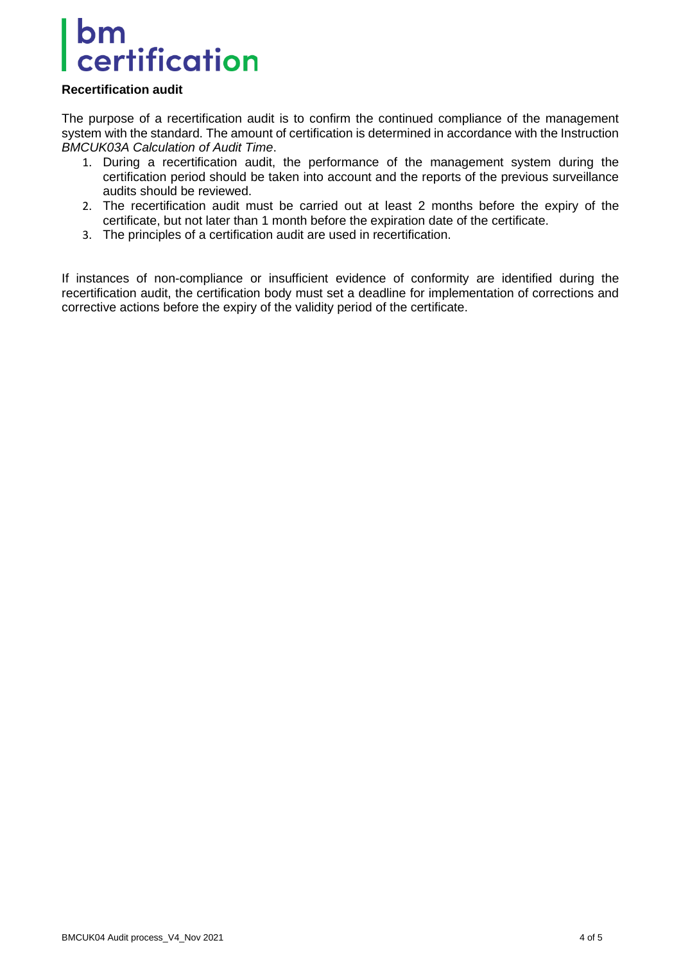### bm certification

#### **Recertification audit**

The purpose of a recertification audit is to confirm the continued compliance of the management system with the standard. The amount of certification is determined in accordance with the Instruction *BMCUK03A Calculation of Audit Time*.

- 1. During a recertification audit, the performance of the management system during the certification period should be taken into account and the reports of the previous surveillance audits should be reviewed.
- 2. The recertification audit must be carried out at least 2 months before the expiry of the certificate, but not later than 1 month before the expiration date of the certificate.
- 3. The principles of a certification audit are used in recertification.

If instances of non-compliance or insufficient evidence of conformity are identified during the recertification audit, the certification body must set a deadline for implementation of corrections and corrective actions before the expiry of the validity period of the certificate.